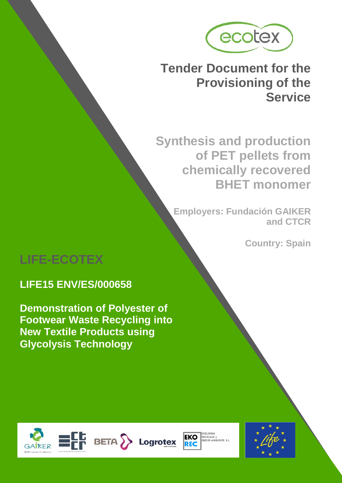

# **Tender Document for the Provisioning of the Service**

**Synthesis and production of PET pellets from chemically recovered BHET monomer**

**Employers: Fundación GAIKER and CTCR**

**Country: Spain**

# **LIFE-ECOTEX**

# **LIFE15 ENV/ES/000658**

**Demonstration of Polyester of Footwear Waste Recycling into New Textile Products using Glycolysis Technology**





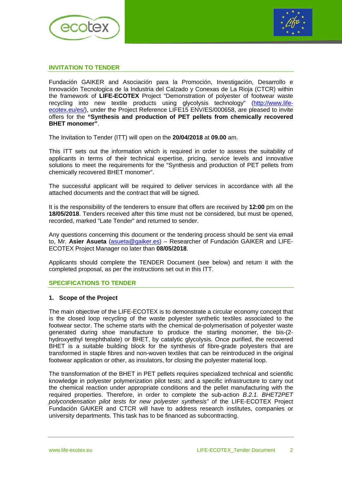



#### **INVITATION TO TENDER**

Fundación GAIKER and Asociación para la Promoción, Investigación, Desarrollo e Innovación Tecnologica de la Industria del Calzado y Conexas de La Rioja (CTCR) within the framework of **LIFE-ECOTEX** Project "Demonstration of polyester of footwear waste recycling into new textile products using glycolysis technology" [\(http://www.life](http://www.life-ecotex.eu/es/)[ecotex.eu/es/\)](http://www.life-ecotex.eu/es/), under the Project Reference LIFE15 ENV/ES/000658, are pleased to invite offers for the **"Synthesis and production of PET pellets from chemically recovered BHET monomer"**.

The Invitation to Tender (ITT) will open on the **20/04/2018** at **09.00** am.

This ITT sets out the information which is required in order to assess the suitability of applicants in terms of their technical expertise, pricing, service levels and innovative solutions to meet the requirements for the "Synthesis and production of PET pellets from chemically recovered BHET monomer".

The successful applicant will be required to deliver services in accordance with all the attached documents and the contract that will be signed.

It is the responsibility of the tenderers to ensure that offers are received by **12:00** pm on the **18/05/2018**. Tenders received after this time must not be considered, but must be opened, recorded, marked "Late Tender" and returned to sender.

Any questions concerning this document or the tendering process should be sent via email to, Mr. **Asier Asueta** [\(asueta@gaiker.es\)](mailto:asueta@gaiker.es) – Researcher of Fundación GAIKER and LIFE-ECOTEX Project Manager no later than **08/05/2018**.

Applicants should complete the TENDER Document (see below) and return it with the completed proposal, as per the instructions set out in this ITT.

#### **SPECIFICATIONS TO TENDER**

#### **1. Scope of the Project**

The main objective of the LIFE-ECOTEX is to demonstrate a circular economy concept that is the closed loop recycling of the waste polyester synthetic textiles associated to the footwear sector. The scheme starts with the chemical de-polymerisation of polyester waste generated during shoe manufacture to produce the starting monomer, the bis-(2 hydroxyethyl terephthalate) or BHET, by catalytic glycolysis. Once purified, the recovered BHET is a suitable building block for the synthesis of fibre-grade polyesters that are transformed in staple fibres and non-woven textiles that can be reintroduced in the original footwear application or other, as insulators, for closing the polyester material loop.

The transformation of the BHET in PET pellets requires specialized technical and scientific knowledge in polyester polymerization pilot tests; and a specific infrastructure to carry out the chemical reaction under appropriate conditions and the pellet manufacturing with the required properties. Therefore, in order to complete the sub-action *B.2.1. BHET2PET polycondensation pilot tests for new polyester synthesis"* of the LIFE-ECOTEX Project Fundación GAIKER and CTCR will have to address research institutes, companies or university departments. This task has to be financed as subcontracting.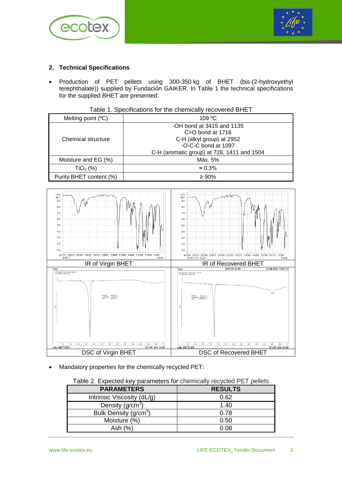



# **2. Technical Specifications**

• Production of PET pellets using 300-350 kg of BHET (bis-(2-hydroxyethyl terephthalate)) supplied by Fundación GAIKER. In Table 1 the technical specifications for the supplied BHET are presented:

| Table 1. Specifications for the chemically recovered BHET |  |  |
|-----------------------------------------------------------|--|--|
|-----------------------------------------------------------|--|--|

| Melting point $(°C)$    | $109 \text{ °C}$                                                                                                                                    |
|-------------------------|-----------------------------------------------------------------------------------------------------------------------------------------------------|
| Chemical structure      | -OH bond at 3415 and 1135<br>$C = 0$ bond at 1716<br>C-H (alkyl group) at 2952<br>-O-C-C bond at 1097<br>C-H (aromatic group) at 728, 1411 and 1504 |
| Moisture and EG (%)     | Máx. 5%                                                                                                                                             |
| $TiO2$ (%)              | $\approx 0.3\%$                                                                                                                                     |
| Purity BHET content (%) | $\geq 90\%$                                                                                                                                         |



• Mandatory properties for the chemically recycled PET:

| Table 2. Expected key parameters for chemically recycled PET pellets |  |  |  |  |  |  |
|----------------------------------------------------------------------|--|--|--|--|--|--|
|----------------------------------------------------------------------|--|--|--|--|--|--|

| <b>PARAMETERS</b>                 | <b>RESULTS</b> |
|-----------------------------------|----------------|
| Intrinsic Viscosity (dL/g)        | 0.62           |
| Density $(g/cm3)$                 | 1.40           |
| Bulk Density (g/cm <sup>3</sup> ) | 0.78           |
| Moisture (%)                      | 0.50           |
| Ash $(%)$                         | 0.08           |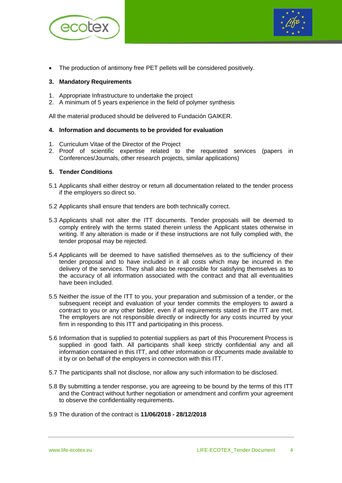



The production of antimony free PET pellets will be considered positively.

#### **3. Mandatory Requirements**

- 1. Appropriate Infrastructure to undertake the project
- 2. A minimum of 5 years experience in the field of polymer synthesis

All the material produced should be delivered to Fundación GAIKER.

#### **4. Information and documents to be provided for evaluation**

- 1. Curriculum Vitae of the Director of the Project
- 2. Proof of scientific expertise related to the requested services (papers in Conferences/Journals, other research projects, similar applications)

#### **5. Tender Conditions**

- 5.1 Applicants shall either destroy or return all documentation related to the tender process if the employers so direct so.
- 5.2 Applicants shall ensure that tenders are both technically correct.
- 5.3 Applicants shall not alter the ITT documents. Tender proposals will be deemed to comply entirely with the terms stated therein unless the Applicant states otherwise in writing. If any alteration is made or if these instructions are not fully complied with, the tender proposal may be rejected.
- 5.4 Applicants will be deemed to have satisfied themselves as to the sufficiency of their tender proposal and to have included in it all costs which may be incurred in the delivery of the services. They shall also be responsible for satisfying themselves as to the accuracy of all information associated with the contract and that all eventualities have been included.
- 5.5 Neither the issue of the ITT to you, your preparation and submission of a tender, or the subsequent receipt and evaluation of your tender commits the employers to award a contract to you or any other bidder, even if all requirements stated in the ITT are met. The employers are not responsible directly or indirectly for any costs incurred by your firm in responding to this ITT and participating in this process.
- 5.6 Information that is supplied to potential suppliers as part of this Procurement Process is supplied in good faith. All participants shall keep strictly confidential any and all information contained in this ITT, and other information or documents made available to it by or on behalf of the employers in connection with this ITT.
- 5.7 The participants shall not disclose, nor allow any such information to be disclosed.
- 5.8 By submitting a tender response, you are agreeing to be bound by the terms of this ITT and the Contract without further negotiation or amendment and confirm your agreement to observe the confidentiality requirements.
- 5.9 The duration of the contract is **11/06/2018 - 28/12/2018**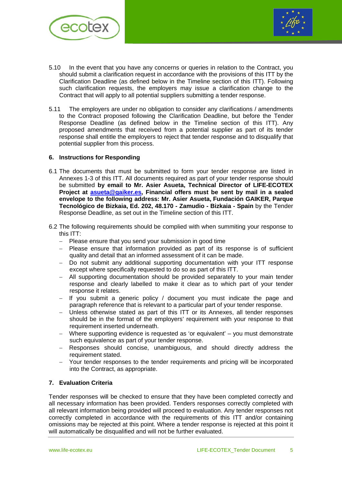



- 5.10 In the event that you have any concerns or queries in relation to the Contract, you should submit a clarification request in accordance with the provisions of this ITT by the Clarification Deadline (as defined below in the Timeline section of this ITT). Following such clarification requests, the employers may issue a clarification change to the Contract that will apply to all potential suppliers submitting a tender response.
- 5.11 The employers are under no obligation to consider any clarifications / amendments to the Contract proposed following the Clarification Deadline, but before the Tender Response Deadline (as defined below in the Timeline section of this ITT). Any proposed amendments that received from a potential supplier as part of its tender response shall entitle the employers to reject that tender response and to disqualify that potential supplier from this process.

#### **6. Instructions for Responding**

- 6.1 The documents that must be submitted to form your tender response are listed in Annexes 1-3 of this ITT. All documents required as part of your tender response should be submitted **by email to Mr. Asier Asueta, Technical Director of LIFE-ECOTEX Project at [asueta@gaiker.es,](mailto:asueta@gaiker.es) Financial offers must be sent by mail in a sealed envelope to the following address: Mr. Asier Asueta, Fundación GAIKER, Parque Tecnológico de Bizkaia, Ed. 202, 48.170 - Zamudio - Bizkaia - Spain** by the Tender Response Deadline, as set out in the Timeline section of this ITT.
- 6.2 The following requirements should be complied with when summiting your response to this ITT:
	- − Please ensure that you send your submission in good time
	- − Please ensure that information provided as part of its response is of sufficient quality and detail that an informed assessment of it can be made.
	- − Do not submit any additional supporting documentation with your ITT response except where specifically requested to do so as part of this ITT.
	- − All supporting documentation should be provided separately to your main tender response and clearly labelled to make it clear as to which part of your tender response it relates.
	- − If you submit a generic policy / document you must indicate the page and paragraph reference that is relevant to a particular part of your tender response.
	- − Unless otherwise stated as part of this ITT or its Annexes, all tender responses should be in the format of the employers' requirement with your response to that requirement inserted underneath.
	- − Where supporting evidence is requested as 'or equivalent' you must demonstrate such equivalence as part of your tender response.
	- − Responses should concise, unambiguous, and should directly address the requirement stated.
	- Your tender responses to the tender requirements and pricing will be incorporated into the Contract, as appropriate.

### **7. Evaluation Criteria**

Tender responses will be checked to ensure that they have been completed correctly and all necessary information has been provided. Tenders responses correctly completed with all relevant information being provided will proceed to evaluation. Any tender responses not correctly completed in accordance with the requirements of this ITT and/or containing omissions may be rejected at this point. Where a tender response is rejected at this point it will automatically be disqualified and will not be further evaluated.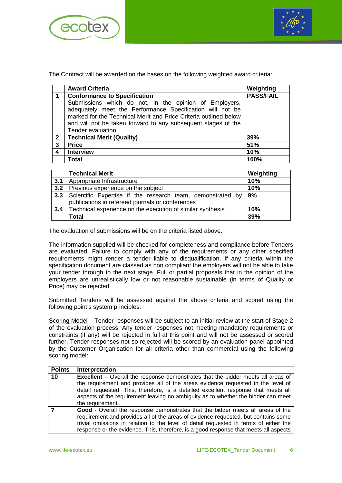



The Contract will be awarded on the bases on the following weighted award criteria:

|                | <b>Award Criteria</b>                                                                                                             | Weighting        |
|----------------|-----------------------------------------------------------------------------------------------------------------------------------|------------------|
| 1              | <b>Conformance to Specification</b>                                                                                               | <b>PASS/FAIL</b> |
|                | Submissions which do not, in the opinion of Employers,<br>adequately meet the Performance Specification will not be               |                  |
|                | marked for the Technical Merit and Price Criteria outlined below<br>and will not be taken forward to any subsequent stages of the |                  |
|                | Tender evaluation.                                                                                                                |                  |
| $\overline{2}$ | <b>Technical Merit (Quality)</b>                                                                                                  | 39%              |
| $\mathbf{3}$   | <b>Price</b>                                                                                                                      | 51%              |
| 4              | <b>Interview</b>                                                                                                                  | 10%              |
|                | Total                                                                                                                             | 100%             |

|     | <b>Technical Merit</b>                                            | Weighting |
|-----|-------------------------------------------------------------------|-----------|
| 3.1 | Appropriate Infrastructure                                        | 10%       |
| 3.2 | Previous experience on the subject                                | 10%       |
| 3.3 | Scientific Expertise if the research team, demonstrated by        | 9%        |
|     | publications in refereed journals or conferences                  |           |
| 3.4 | Technical experience on the execution of similar synthesis<br>10% |           |
|     | <b>Total</b>                                                      | 39%       |

The evaluation of submissions will be on the criteria listed above**.**

The information supplied will be checked for completeness and compliance before Tenders are evaluated. Failure to comply with any of the requirements or any other specified requirements might render a tender liable to disqualification. If any criteria within the specification document are classed as non compliant the employers will not be able to take your tender through to the next stage. Full or partial proposals that in the opinion of the employers are unrealistically low or not reasonable sustainable (in terms of Quality or Price) may be rejected.

Submitted Tenders will be assessed against the above criteria and scored using the following point's system principles:

Scoring Model – Tender responses will be subject to an initial review at the start of Stage 2 of the evaluation process. Any tender responses not meeting mandatory requirements or constraints (if any) will be rejected in full at this point and will not be assessed or scored further. Tender responses not so rejected will be scored by an evaluation panel appointed by the Customer Organisation for all criteria other than commercial using the following scoring model:

| <b>Points</b> | <b>Interpretation</b>                                                                                                                                                                                                                                                                                                                                  |
|---------------|--------------------------------------------------------------------------------------------------------------------------------------------------------------------------------------------------------------------------------------------------------------------------------------------------------------------------------------------------------|
| 10            | <b>Excellent</b> – Overall the response demonstrates that the bidder meets all areas of<br>the requirement and provides all of the areas evidence requested in the level of                                                                                                                                                                            |
|               | detail requested. This, therefore, is a detailed excellent response that meets all<br>aspects of the requirement leaving no ambiguity as to whether the bidder can meet                                                                                                                                                                                |
|               | the requirement.                                                                                                                                                                                                                                                                                                                                       |
|               | Good - Overall the response demonstrates that the bidder meets all areas of the<br>requirement and provides all of the areas of evidence requested, but contains some<br>trivial omissions in relation to the level of detail requested in terms of either the<br>response or the evidence. This, therefore, is a good response that meets all aspects |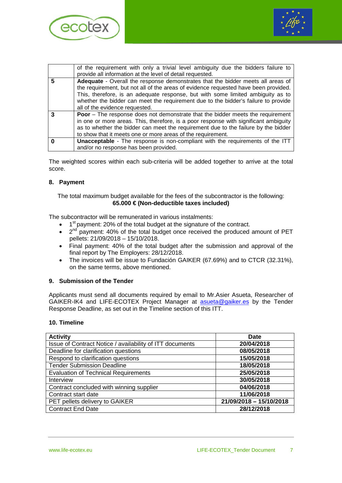



|   | of the requirement with only a trivial level ambiguity due the bidders failure to     |
|---|---------------------------------------------------------------------------------------|
|   | provide all information at the level of detail requested.                             |
| 5 | Adequate - Overall the response demonstrates that the bidder meets all areas of       |
|   | the requirement, but not all of the areas of evidence requested have been provided.   |
|   | This, therefore, is an adequate response, but with some limited ambiguity as to       |
|   | whether the bidder can meet the requirement due to the bidder's failure to provide    |
|   | all of the evidence requested.                                                        |
|   | <b>Poor</b> – The response does not demonstrate that the bidder meets the requirement |
|   | in one or more areas. This, therefore, is a poor response with significant ambiguity  |
|   | as to whether the bidder can meet the requirement due to the failure by the bidder    |
|   | to show that it meets one or more areas of the requirement.                           |
|   | <b>Unacceptable</b> - The response is non-compliant with the requirements of the ITT  |
|   | and/or no response has been provided.                                                 |

The weighted scores within each sub-criteria will be added together to arrive at the total score.

### **8. Payment**

The total maximum budget available for the fees of the subcontractor is the following: **65.000 € (Non-deductible taxes included)**

The subcontractor will be remunerated in various instalments:

- 1<sup>st</sup> payment: 20% of the total budget at the signature of the contract.
- $\bullet$   $2^{nd}$  payment: 40% of the total budget once received the produced amount of PET pellets: 21/09/2018 – 15/10/2018.
- Final payment: 40% of the total budget after the submission and approval of the final report by The Employers: 28/12/2018.
- The invoices will be issue to Fundación GAIKER (67.69%) and to CTCR (32.31%), on the same terms, above mentioned.

### **9. Submission of the Tender**

Applicants must send all documents required by email to Mr.Asier Asueta, Researcher of GAIKER-IK4 and LIFE-ECOTEX Project Manager at **[asueta@gaiker.es](mailto:asueta@gaiker.es)** by the Tender Response Deadline, as set out in the Timeline section of this ITT.

#### **10. Timeline**

| <b>Activity</b>                                          | <b>Date</b>             |
|----------------------------------------------------------|-------------------------|
| Issue of Contract Notice / availability of ITT documents | 20/04/2018              |
| Deadline for clarification questions                     | 08/05/2018              |
| Respond to clarification questions                       | 15/05/2018              |
| <b>Tender Submission Deadline</b>                        | 18/05/2018              |
| <b>Evaluation of Technical Requirements</b>              | 25/05/2018              |
| Interview                                                | 30/05/2018              |
| Contract concluded with winning supplier                 | 04/06/2018              |
| Contract start date                                      | 11/06/2018              |
| PET pellets delivery to GAIKER                           | 21/09/2018 - 15/10/2018 |
| <b>Contract End Date</b>                                 | 28/12/2018              |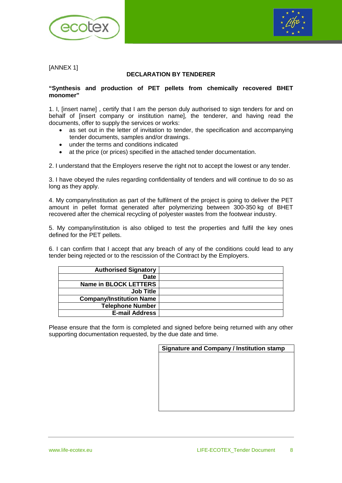



[ANNEX 1]

# **DECLARATION BY TENDERER**

#### **"Synthesis and production of PET pellets from chemically recovered BHET monomer"**

1. I, [insert name] , certify that I am the person duly authorised to sign tenders for and on behalf of [insert company or institution name], the tenderer, and having read the documents, offer to supply the services or works:

- as set out in the letter of invitation to tender, the specification and accompanying tender documents, samples and/or drawings.
- under the terms and conditions indicated
- at the price (or prices) specified in the attached tender documentation.

2. I understand that the Employers reserve the right not to accept the lowest or any tender.

3. I have obeyed the rules regarding confidentiality of tenders and will continue to do so as long as they apply.

4. My company/institution as part of the fulfilment of the project is going to deliver the PET amount in pellet format generated after polymerizing between 300-350 kg of BHET recovered after the chemical recycling of polyester wastes from the footwear industry.

5. My company/institution is also obliged to test the properties and fulfil the key ones defined for the PET pellets.

6. I can confirm that I accept that any breach of any of the conditions could lead to any tender being rejected or to the rescission of the Contract by the Employers.

| <b>Authorised Signatory</b>     |  |
|---------------------------------|--|
| <b>Date</b>                     |  |
| Name in BLOCK LETTERS           |  |
| <b>Job Title</b>                |  |
| <b>Company/Institution Name</b> |  |
| <b>Telephone Number</b>         |  |
| <b>E-mail Address</b>           |  |

Please ensure that the form is completed and signed before being returned with any other supporting documentation requested, by the due date and time.

| <b>Signature and Company / Institution stamp</b> |  |  |
|--------------------------------------------------|--|--|
|                                                  |  |  |
|                                                  |  |  |
|                                                  |  |  |
|                                                  |  |  |
|                                                  |  |  |
|                                                  |  |  |
|                                                  |  |  |
|                                                  |  |  |
|                                                  |  |  |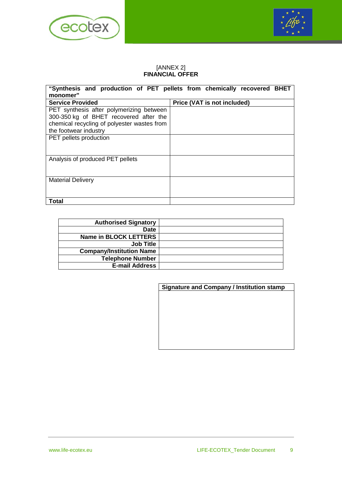



## [ANNEX 2] **FINANCIAL OFFER**

| "Synthesis and production of PET pellets from chemically recovered BHET |                             |  |
|-------------------------------------------------------------------------|-----------------------------|--|
| monomer"                                                                |                             |  |
| <b>Service Provided</b>                                                 | Price (VAT is not included) |  |
| PET synthesis after polymerizing between                                |                             |  |
| 300-350 kg of BHET recovered after the                                  |                             |  |
| chemical recycling of polyester wastes from                             |                             |  |
| the footwear industry                                                   |                             |  |
| PET pellets production                                                  |                             |  |
| Analysis of produced PET pellets                                        |                             |  |
| <b>Material Delivery</b>                                                |                             |  |
| Total                                                                   |                             |  |

| <b>Authorised Signatory</b>     |  |
|---------------------------------|--|
| <b>Date</b>                     |  |
| <b>Name in BLOCK LETTERS</b>    |  |
| <b>Job Title</b>                |  |
| <b>Company/Institution Name</b> |  |
| <b>Telephone Number</b>         |  |
| <b>E-mail Address</b>           |  |

| Signature and Company / Institution stamp |  |  |  |  |  |  |  |
|-------------------------------------------|--|--|--|--|--|--|--|
|                                           |  |  |  |  |  |  |  |
|                                           |  |  |  |  |  |  |  |
|                                           |  |  |  |  |  |  |  |
|                                           |  |  |  |  |  |  |  |
|                                           |  |  |  |  |  |  |  |
|                                           |  |  |  |  |  |  |  |
|                                           |  |  |  |  |  |  |  |